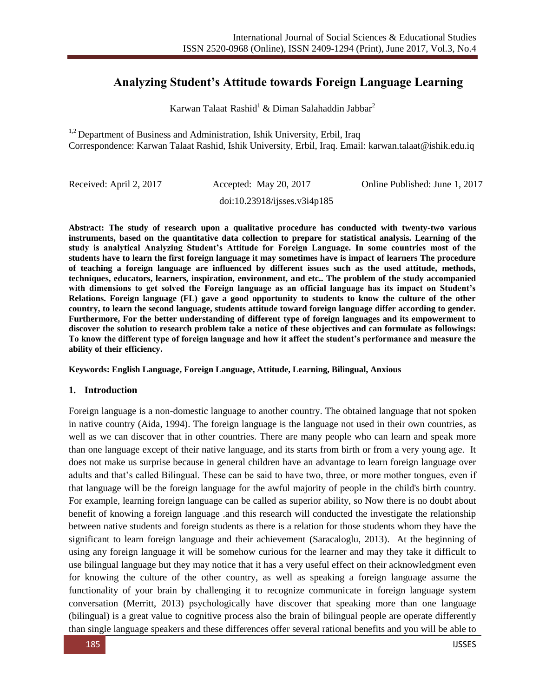# **Analyzing Student's Attitude towards Foreign Language Learning**

Karwan Talaat Rashid<sup>1</sup> & Diman Salahaddin Jabbar<sup>2</sup>

 $1,2$  Department of Business and Administration, Ishik University, Erbil, Iraq Correspondence: Karwan Talaat Rashid, Ishik University, Erbil, Iraq. Email: karwan.talaat@ishik.edu.iq

doi:10.23918/ijsses.v3i4p185

Received: April 2, 2017 Accepted: May 20, 2017 Online Published: June 1, 2017

**Abstract: The study of research upon a qualitative procedure has conducted with twenty-two various instruments, based on the quantitative data collection to prepare for statistical analysis. Learning of the study is analytical Analyzing Student's Attitude for Foreign Language. In some countries most of the students have to learn the first foreign language it may sometimes have is impact of learners The procedure of teaching a foreign language are influenced by different issues such as the used attitude, methods, techniques, educators, learners, inspiration, environment, and etc.. The problem of the study accompanied with dimensions to get solved the Foreign language as an official language has its impact on Student's Relations. Foreign language (FL) gave a good opportunity to students to know the culture of the other country, to learn the second language, students attitude toward foreign language differ according to gender. Furthermore, For the better understanding of different type of foreign languages and its empowerment to discover the solution to research problem take a notice of these objectives and can formulate as followings: To know the different type of foreign language and how it affect the student's performance and measure the ability of their efficiency.**

#### **Keywords: English Language, Foreign Language, Attitude, Learning, Bilingual, Anxious**

#### **1. Introduction**

Foreign language is a non-domestic language to another country. The obtained language that not spoken in native country (Aida, 1994). The foreign language is the language not used in their own countries, as well as we can discover that in other countries. There are many people who can learn and speak more than one language except of their native language, and its starts from birth or from a very young age. It does not make us surprise because in general children have an advantage to learn foreign language over adults and that's called Bilingual. These can be said to have two, three, or more mother tongues, even if that language will be the foreign language for the awful majority of people in the child's birth country. For example, learning foreign language can be called as superior ability, so Now there is no doubt about benefit of knowing a foreign language .and this research will conducted the investigate the relationship between native students and foreign students as there is a relation for those students whom they have the significant to learn foreign language and their achievement (Saracaloglu, 2013). At the beginning of using any foreign language it will be somehow curious for the learner and may they take it difficult to use bilingual language but they may notice that it has a very useful effect on their acknowledgment even for knowing the culture of the other country, as well as speaking a foreign language assume the functionality of your brain by challenging it to recognize communicate in foreign language system conversation (Merritt, 2013) psychologically have discover that speaking more than one language (bilingual) is a great value to cognitive process also the brain of bilingual people are operate differently than single language speakers and these differences offer several rational benefits and you will be able to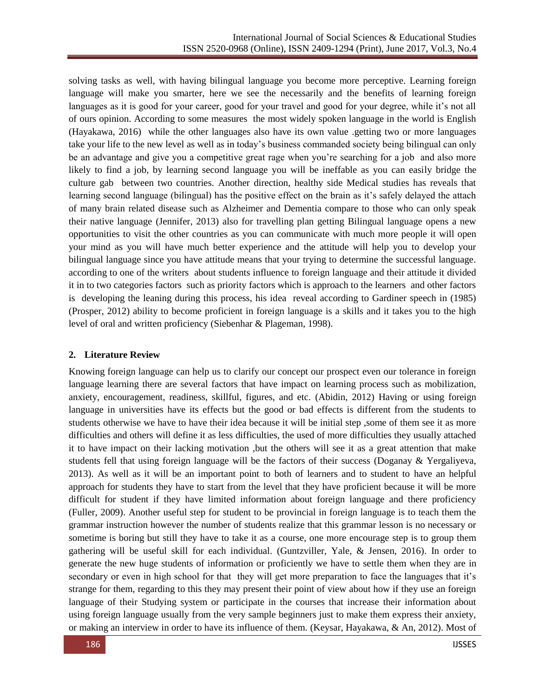solving tasks as well, with having bilingual language you become more perceptive. Learning foreign language will make you smarter, here we see the necessarily and the benefits of learning foreign languages as it is good for your career, good for your travel and good for your degree, while it's not all of ours opinion. According to some measures the most widely spoken language in the world is English (Hayakawa, 2016) while the other languages also have its own value .getting two or more languages take your life to the new level as well as in today's business commanded society being bilingual can only be an advantage and give you a competitive great rage when you're searching for a job and also more likely to find a job, by learning second language you will be ineffable as you can easily bridge the culture gab between two countries. Another direction, healthy side Medical studies has reveals that learning second language (bilingual) has the positive effect on the brain as it's safely delayed the attach of many brain related disease such as Alzheimer and Dementia compare to those who can only speak their native language (Jennifer, 2013) also for travelling plan getting Bilingual language opens a new opportunities to visit the other countries as you can communicate with much more people it will open your mind as you will have much better experience and the attitude will help you to develop your bilingual language since you have attitude means that your trying to determine the successful language. according to one of the writers about students influence to foreign language and their attitude it divided it in to two categories factors such as priority factors which is approach to the learners and other factors is developing the leaning during this process, his idea reveal according to Gardiner speech in (1985) (Prosper, 2012) ability to become proficient in foreign language is a skills and it takes you to the high level of oral and written proficiency (Siebenhar & Plageman, 1998).

### **2. Literature Review**

Knowing foreign language can help us to clarify our concept our prospect even our tolerance in foreign language learning there are several factors that have impact on learning process such as mobilization, anxiety, encouragement, readiness, skillful, figures, and etc. (Abidin, 2012) Having or using foreign language in universities have its effects but the good or bad effects is different from the students to students otherwise we have to have their idea because it will be initial step ,some of them see it as more difficulties and others will define it as less difficulties, the used of more difficulties they usually attached it to have impact on their lacking motivation ,but the others will see it as a great attention that make students fell that using foreign language will be the factors of their success (Doganay & Yergaliyeva, 2013). As well as it will be an important point to both of learners and to student to have an helpful approach for students they have to start from the level that they have proficient because it will be more difficult for student if they have limited information about foreign language and there proficiency (Fuller, 2009). Another useful step for student to be provincial in foreign language is to teach them the grammar instruction however the number of students realize that this grammar lesson is no necessary or sometime is boring but still they have to take it as a course, one more encourage step is to group them gathering will be useful skill for each individual. (Guntzviller, Yale, & Jensen, 2016). In order to generate the new huge students of information or proficiently we have to settle them when they are in secondary or even in high school for that they will get more preparation to face the languages that it's strange for them, regarding to this they may present their point of view about how if they use an foreign language of their Studying system or participate in the courses that increase their information about using foreign language usually from the very sample beginners just to make them express their anxiety, or making an interview in order to have its influence of them. (Keysar, Hayakawa, & An, 2012). Most of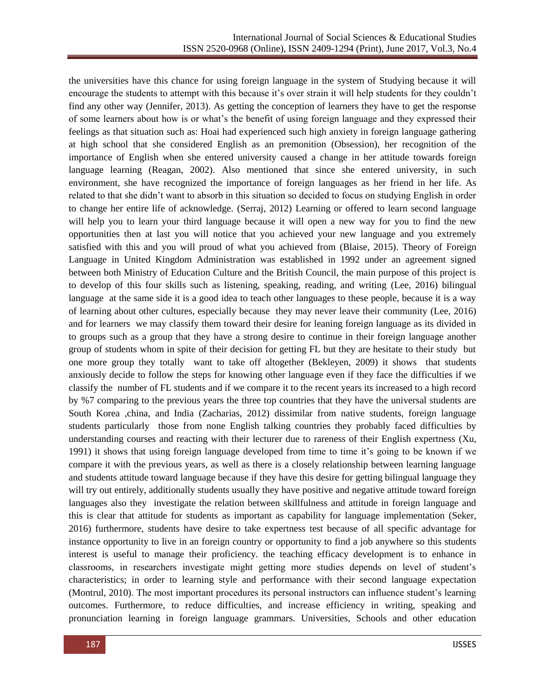the universities have this chance for using foreign language in the system of Studying because it will encourage the students to attempt with this because it's over strain it will help students for they couldn't find any other way (Jennifer, 2013). As getting the conception of learners they have to get the response of some learners about how is or what's the benefit of using foreign language and they expressed their feelings as that situation such as: Hoai had experienced such high anxiety in foreign language gathering at high school that she considered English as an premonition (Obsession), her recognition of the importance of English when she entered university caused a change in her attitude towards foreign language learning (Reagan, 2002). Also mentioned that since she entered university, in such environment, she have recognized the importance of foreign languages as her friend in her life. As related to that she didn't want to absorb in this situation so decided to focus on studying English in order to change her entire life of acknowledge. (Serraj, 2012) Learning or offered to learn second language will help you to learn your third language because it will open a new way for you to find the new opportunities then at last you will notice that you achieved your new language and you extremely satisfied with this and you will proud of what you achieved from (Blaise, 2015). Theory of Foreign Language in United Kingdom Administration was established in 1992 under an agreement signed between both Ministry of Education Culture and the British Council, the main purpose of this project is to develop of this four skills such as listening, speaking, reading, and writing (Lee, 2016) bilingual language at the same side it is a good idea to teach other languages to these people, because it is a way of learning about other cultures, especially because they may never leave their community (Lee, 2016) and for learners we may classify them toward their desire for leaning foreign language as its divided in to groups such as a group that they have a strong desire to continue in their foreign language another group of students whom in spite of their decision for getting FL but they are hesitate to their study but one more group they totally want to take off altogether (Bekleyen, 2009) it shows that students anxiously decide to follow the steps for knowing other language even if they face the difficulties if we classify the number of FL students and if we compare it to the recent years its increased to a high record by %7 comparing to the previous years the three top countries that they have the universal students are South Korea ,china, and India (Zacharias, 2012) dissimilar from native students, foreign language students particularly those from none English talking countries they probably faced difficulties by understanding courses and reacting with their lecturer due to rareness of their English expertness (Xu, 1991) it shows that using foreign language developed from time to time it's going to be known if we compare it with the previous years, as well as there is a closely relationship between learning language and students attitude toward language because if they have this desire for getting bilingual language they will try out entirely, additionally students usually they have positive and negative attitude toward foreign languages also they investigate the relation between skillfulness and attitude in foreign language and this is clear that attitude for students as important as capability for language implementation (Seker, 2016) furthermore, students have desire to take expertness test because of all specific advantage for instance opportunity to live in an foreign country or opportunity to find a job anywhere so this students interest is useful to manage their proficiency. the teaching efficacy development is to enhance in classrooms, in researchers investigate might getting more studies depends on level of student's characteristics; in order to learning style and performance with their second language expectation (Montrul, 2010). The most important procedures its personal instructors can influence student's learning outcomes. Furthermore, to reduce difficulties, and increase efficiency in writing, speaking and pronunciation learning in foreign language grammars. Universities, Schools and other education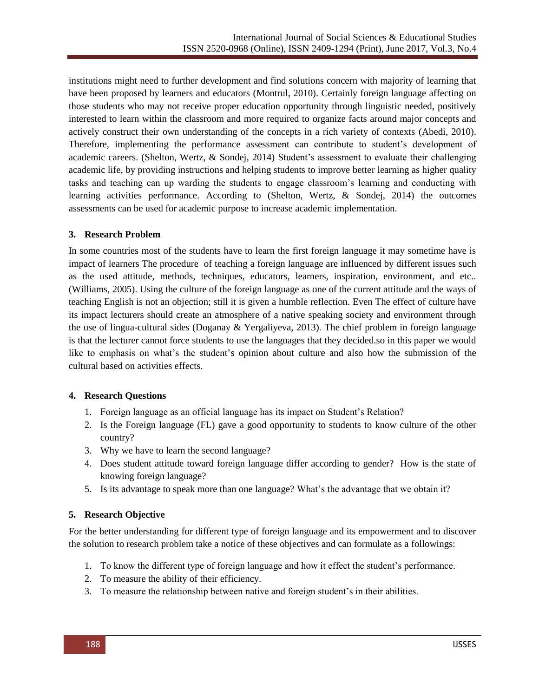institutions might need to further development and find solutions concern with majority of learning that have been proposed by learners and educators (Montrul, 2010). Certainly foreign language affecting on those students who may not receive proper education opportunity through linguistic needed, positively interested to learn within the classroom and more required to organize facts around major concepts and actively construct their own understanding of the concepts in a rich variety of contexts (Abedi, 2010). Therefore, implementing the performance assessment can contribute to student's development of academic careers. (Shelton, Wertz, & Sondej, 2014) Student's assessment to evaluate their challenging academic life, by providing instructions and helping students to improve better learning as higher quality tasks and teaching can up warding the students to engage classroom's learning and conducting with learning activities performance. According to (Shelton, Wertz, & Sondej, 2014) the outcomes assessments can be used for academic purpose to increase academic implementation.

# **3. Research Problem**

In some countries most of the students have to learn the first foreign language it may sometime have is impact of learners The procedure of teaching a foreign language are influenced by different issues such as the used attitude, methods, techniques, educators, learners, inspiration, environment, and etc.. (Williams, 2005). Using the culture of the foreign language as one of the current attitude and the ways of teaching English is not an objection; still it is given a humble reflection. Even The effect of culture have its impact lecturers should create an atmosphere of a native speaking society and environment through the use of lingua-cultural sides (Doganay & Yergaliyeva, 2013). The chief problem in foreign language is that the lecturer cannot force students to use the languages that they decided.so in this paper we would like to emphasis on what's the student's opinion about culture and also how the submission of the cultural based on activities effects.

### **4. Research Questions**

- 1. Foreign language as an official language has its impact on Student's Relation?
- 2. Is the Foreign language (FL) gave a good opportunity to students to know culture of the other country?
- 3. Why we have to learn the second language?
- 4. Does student attitude toward foreign language differ according to gender? How is the state of knowing foreign language?
- 5. Is its advantage to speak more than one language? What's the advantage that we obtain it?

# **5. Research Objective**

For the better understanding for different type of foreign language and its empowerment and to discover the solution to research problem take a notice of these objectives and can formulate as a followings:

- 1. To know the different type of foreign language and how it effect the student's performance.
- 2. To measure the ability of their efficiency.
- 3. To measure the relationship between native and foreign student's in their abilities.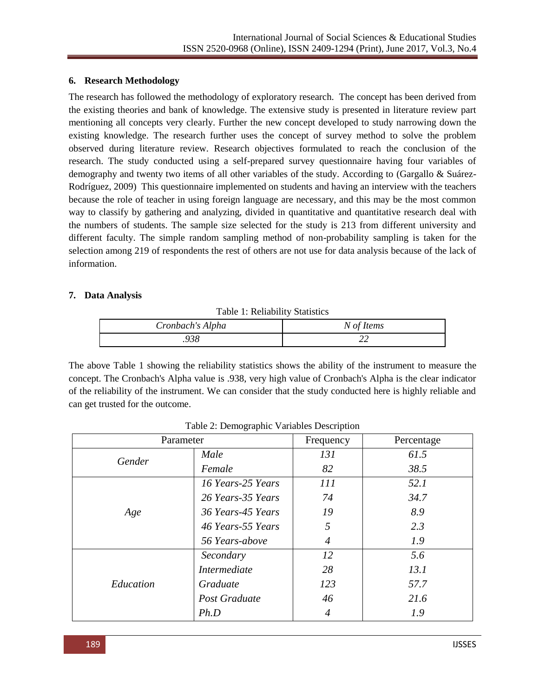#### **6. Research Methodology**

The research has followed the methodology of exploratory research. The concept has been derived from the existing theories and bank of knowledge. The extensive study is presented in literature review part mentioning all concepts very clearly. Further the new concept developed to study narrowing down the existing knowledge. The research further uses the concept of survey method to solve the problem observed during literature review. Research objectives formulated to reach the conclusion of the research. The study conducted using a self-prepared survey questionnaire having four variables of demography and twenty two items of all other variables of the study. According to (Gargallo & Suárez-Rodríguez, 2009) This questionnaire implemented on students and having an interview with the teachers because the role of teacher in using foreign language are necessary, and this may be the most common way to classify by gathering and analyzing, divided in quantitative and quantitative research deal with the numbers of students. The sample size selected for the study is 213 from different university and different faculty. The simple random sampling method of non-probability sampling is taken for the selection among 219 of respondents the rest of others are not use for data analysis because of the lack of information.

#### **7. Data Analysis**

Table 1: Reliability Statistics

| Cronbach's Alpha | N of Items |
|------------------|------------|
| .938             |            |

The above Table 1 showing the reliability statistics shows the ability of the instrument to measure the concept. The Cronbach's Alpha value is .938, very high value of Cronbach's Alpha is the clear indicator of the reliability of the instrument. We can consider that the study conducted here is highly reliable and can get trusted for the outcome.

| Parameter |                     | Frequency | Percentage |
|-----------|---------------------|-----------|------------|
| Gender    | Male                | 131       | 61.5       |
|           | Female              | 82        | 38.5       |
|           | 16 Years-25 Years   | 111       | 52.1       |
|           | 26 Years-35 Years   | 74        | 34.7       |
| Age       | 36 Years-45 Years   | 19        | 8.9        |
|           | 46 Years-55 Years   | 5         | 2.3        |
|           | 56 Years-above      | 4         | 1.9        |
|           | Secondary           | 12        | 5.6        |
| Education | <i>Intermediate</i> | 28        | 13.1       |
|           | Graduate            | 123       | 57.7       |
|           | Post Graduate       | 46        | 21.6       |
|           | Ph.D                |           | 1.9        |

Table 2: Demographic Variables Description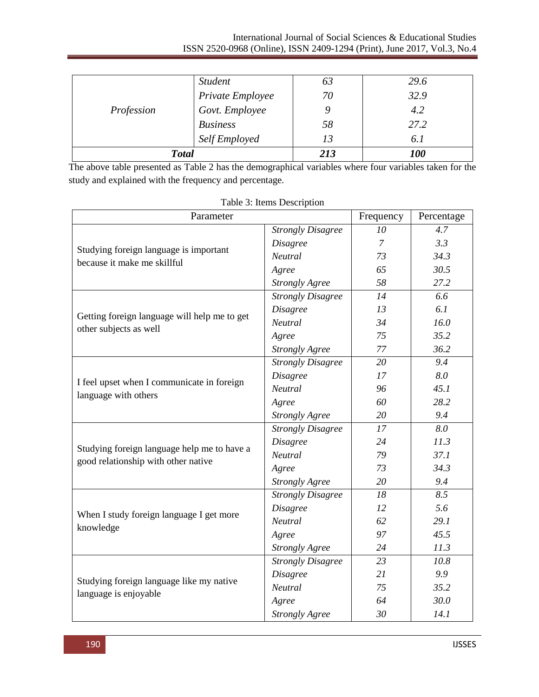#### International Journal of Social Sciences & Educational Studies ISSN 2520-0968 (Online), ISSN 2409-1294 (Print), June 2017, Vol.3, No.4

| Profession | <b>Student</b>   | 03  | 29.6       |
|------------|------------------|-----|------------|
|            | Private Employee | 70  | 32.9       |
|            | Govt. Employee   |     | 4.2        |
|            | <b>Business</b>  | 58  | 27.2       |
|            | Self Employed    | 13  | 6.1        |
|            | <b>Total</b>     | 213 | <i>100</i> |

The above table presented as Table 2 has the demographical variables where four variables taken for the study and explained with the frequency and percentage.

| Parameter                                                                          |                          | Frequency      | Percentage |
|------------------------------------------------------------------------------------|--------------------------|----------------|------------|
|                                                                                    | <b>Strongly Disagree</b> | 10             | 4.7        |
| Studying foreign language is important                                             | <b>Disagree</b>          | $\overline{7}$ | 3.3        |
|                                                                                    | Neutral                  | 73             | 34.3       |
| because it make me skillful                                                        | Agree                    | 65             | 30.5       |
|                                                                                    | <b>Strongly Agree</b>    | 58             | 27.2       |
|                                                                                    | <b>Strongly Disagree</b> | 14             | 6.6        |
|                                                                                    | <b>Disagree</b>          | 13             | 6.1        |
| Getting foreign language will help me to get                                       | Neutral                  | 34             | 16.0       |
| other subjects as well                                                             | Agree                    | 75             | 35.2       |
|                                                                                    | <b>Strongly Agree</b>    | 77             | 36.2       |
|                                                                                    | <b>Strongly Disagree</b> | 20             | 9.4        |
|                                                                                    | <b>Disagree</b>          | 17             | 8.0        |
| I feel upset when I communicate in foreign<br>language with others                 | Neutral                  | 96             | 45.1       |
|                                                                                    | Agree                    | 60             | 28.2       |
|                                                                                    | <b>Strongly Agree</b>    | 20             | 9.4        |
|                                                                                    | <b>Strongly Disagree</b> | 17             | 8.0        |
|                                                                                    | <b>Disagree</b>          | 24             | 11.3       |
| Studying foreign language help me to have a<br>good relationship with other native | Neutral                  | 79             | 37.1       |
|                                                                                    | Agree                    | 73             | 34.3       |
|                                                                                    | <b>Strongly Agree</b>    | 20             | 9.4        |
|                                                                                    | <b>Strongly Disagree</b> | 18             | 8.5        |
|                                                                                    | <b>Disagree</b>          | 12             | 5.6        |
| When I study foreign language I get more<br>knowledge                              | Neutral                  | 62             | 29.1       |
|                                                                                    | Agree                    | 97             | 45.5       |
|                                                                                    | <b>Strongly Agree</b>    | 24             | 11.3       |
|                                                                                    | <b>Strongly Disagree</b> | 23             | 10.8       |
|                                                                                    | <b>Disagree</b>          | 21             | 9.9        |
| Studying foreign language like my native                                           | Neutral                  | 75             | 35.2       |
| language is enjoyable                                                              | Agree                    | 64             | 30.0       |
|                                                                                    | <b>Strongly Agree</b>    | 30             | 14.1       |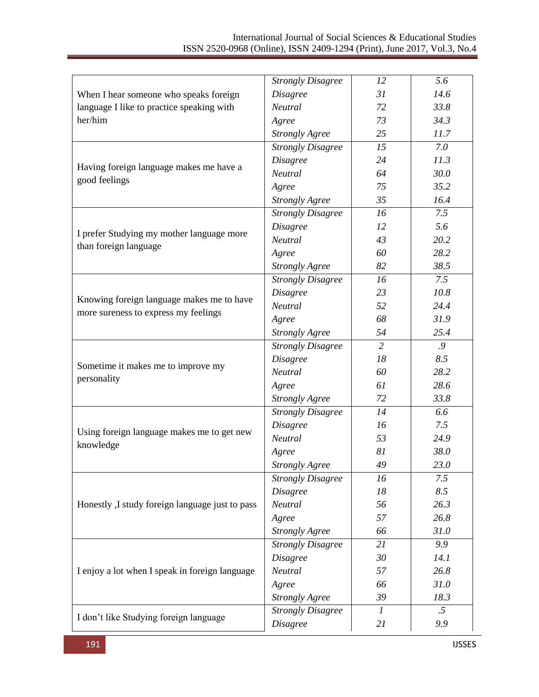# International Journal of Social Sciences & Educational Studies ISSN 2520-0968 (Online), ISSN 2409-1294 (Print), June 2017, Vol.3, No.4

| When I hear someone who speaks foreign          | <b>Strongly Disagree</b> | 12               | 5.6    |
|-------------------------------------------------|--------------------------|------------------|--------|
|                                                 | <b>Disagree</b>          | 31               | 14.6   |
| language I like to practice speaking with       | Neutral                  | 72               | 33.8   |
| her/him                                         | Agree                    | 73               | 34.3   |
|                                                 | <b>Strongly Agree</b>    | 25               | 11.7   |
|                                                 | <b>Strongly Disagree</b> | 15               | 7.0    |
| Having foreign language makes me have a         | <b>Disagree</b>          | 24               | 11.3   |
| good feelings                                   | Neutral                  | 64               | 30.0   |
|                                                 | Agree                    | 75               | 35.2   |
|                                                 | <b>Strongly Agree</b>    | 35               | 16.4   |
|                                                 | <b>Strongly Disagree</b> | 16               | 7.5    |
|                                                 | <b>Disagree</b>          | 12               | 5.6    |
| I prefer Studying my mother language more       | Neutral                  | 43               | 20.2   |
| than foreign language                           | Agree                    | 60               | 28.2   |
|                                                 | <b>Strongly Agree</b>    | 82               | 38.5   |
|                                                 | <b>Strongly Disagree</b> | 16               | 7.5    |
|                                                 | <b>Disagree</b>          | 23               | 10.8   |
| Knowing foreign language makes me to have       | Neutral                  | 52               | 24.4   |
| more sureness to express my feelings            | Agree                    | 68               | 31.9   |
|                                                 | <b>Strongly Agree</b>    | 54               | 25.4   |
| Sometime it makes me to improve my              | <b>Strongly Disagree</b> | $\overline{2}$   | .9     |
|                                                 | <b>Disagree</b>          | 18               | 8.5    |
|                                                 | Neutral                  | 60               | 28.2   |
| personality                                     | Agree                    | 61               | 28.6   |
|                                                 | <b>Strongly Agree</b>    | 72               | 33.8   |
|                                                 | <b>Strongly Disagree</b> | 14               | 6.6    |
|                                                 | Disagree                 | 16               | 7.5    |
| Using foreign language makes me to get new      | Neutral                  | 53               | 24.9   |
| knowledge                                       | Agree                    | 81               | 38.0   |
|                                                 | <b>Strongly Agree</b>    | 49               | 23.0   |
|                                                 | <b>Strongly Disagree</b> | 16               | 7.5    |
|                                                 | <b>Disagree</b>          | 18               | 8.5    |
| Honestly, I study foreign language just to pass | Neutral                  | 56               | 26.3   |
|                                                 | Agree                    | 57               | 26.8   |
|                                                 | <b>Strongly Agree</b>    | 66               | 31.0   |
|                                                 | <b>Strongly Disagree</b> | 21               | 9.9    |
|                                                 | <b>Disagree</b>          | 30               | 14.1   |
| I enjoy a lot when I speak in foreign language  | Neutral                  | 57               | 26.8   |
|                                                 | Agree                    | 66               | 31.0   |
|                                                 | <b>Strongly Agree</b>    | 39               | 18.3   |
|                                                 | <b>Strongly Disagree</b> | $\boldsymbol{l}$ | $.5\,$ |
| I don't like Studying foreign language          | Disagree                 | 21               | 9.9    |
|                                                 |                          |                  |        |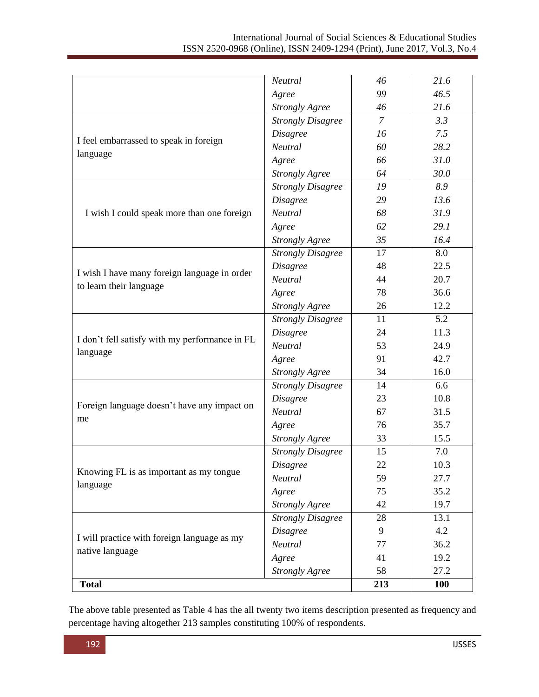|                                                            | Neutral                  | 46             | 21.6       |
|------------------------------------------------------------|--------------------------|----------------|------------|
| Agree                                                      |                          | 99             | 46.5       |
|                                                            | <b>Strongly Agree</b>    | 46             | 21.6       |
|                                                            | <b>Strongly Disagree</b> | $\overline{7}$ | 3.3        |
|                                                            | <b>Disagree</b>          | 16             | 7.5        |
| I feel embarrassed to speak in foreign                     | Neutral                  | 60             | 28.2       |
| language                                                   | Agree                    | 66             | 31.0       |
|                                                            | <b>Strongly Agree</b>    | 64             | 30.0       |
|                                                            | <b>Strongly Disagree</b> | 19             | 8.9        |
|                                                            | <b>Disagree</b>          | 29             | 13.6       |
| I wish I could speak more than one foreign                 | Neutral                  | 68             | 31.9       |
|                                                            | Agree                    | 62             | 29.1       |
|                                                            | <b>Strongly Agree</b>    | 35             | 16.4       |
|                                                            | <b>Strongly Disagree</b> | 17             | 8.0        |
|                                                            | <b>Disagree</b>          | 48             | 22.5       |
| I wish I have many foreign language in order               | Neutral                  | 44             | 20.7       |
| to learn their language                                    | Agree                    | 78             | 36.6       |
|                                                            | <b>Strongly Agree</b>    | 26             | 12.2       |
| I don't fell satisfy with my performance in FL<br>language | <b>Strongly Disagree</b> | 11             | 5.2        |
|                                                            | <b>Disagree</b>          | 24             | 11.3       |
|                                                            | Neutral                  | 53             | 24.9       |
|                                                            | Agree                    | 91             | 42.7       |
|                                                            | <b>Strongly Agree</b>    | 34             | 16.0       |
|                                                            | <b>Strongly Disagree</b> | 14             | 6.6        |
|                                                            | <b>Disagree</b>          | 23             | 10.8       |
| Foreign language doesn't have any impact on                | Neutral                  | 67             | 31.5       |
| me                                                         | Agree                    | 76             | 35.7       |
|                                                            | <b>Strongly Agree</b>    | 33             | 15.5       |
|                                                            | <b>Strongly Disagree</b> | 15             | 7.0        |
|                                                            | <b>Disagree</b>          | 22             | 10.3       |
| Knowing FL is as important as my tongue<br>language        | Neutral                  | 59             | 27.7       |
|                                                            | Agree                    | 75             | 35.2       |
|                                                            | <b>Strongly Agree</b>    | 42             | 19.7       |
|                                                            | <b>Strongly Disagree</b> | 28             | 13.1       |
|                                                            | <b>Disagree</b>          | 9              | 4.2        |
| I will practice with foreign language as my                | Neutral                  | 77             | 36.2       |
| native language                                            | Agree                    | 41             | 19.2       |
|                                                            | <b>Strongly Agree</b>    | 58             | 27.2       |
| <b>Total</b>                                               |                          | 213            | <b>100</b> |

The above table presented as Table 4 has the all twenty two items description presented as frequency and percentage having altogether 213 samples constituting 100% of respondents.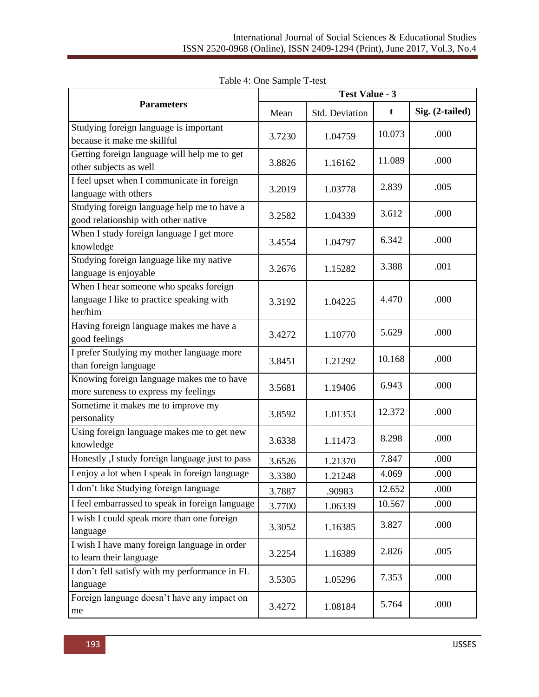|                                                                                                | <b>Test Value - 3</b> |                |        |                 |
|------------------------------------------------------------------------------------------------|-----------------------|----------------|--------|-----------------|
| <b>Parameters</b>                                                                              | Mean                  | Std. Deviation | t      | Sig. (2-tailed) |
| Studying foreign language is important<br>because it make me skillful                          | 3.7230                | 1.04759        | 10.073 | .000            |
| Getting foreign language will help me to get<br>other subjects as well                         | 3.8826                | 1.16162        | 11.089 | .000            |
| I feel upset when I communicate in foreign<br>language with others                             | 3.2019                | 1.03778        | 2.839  | .005            |
| Studying foreign language help me to have a<br>good relationship with other native             | 3.2582                | 1.04339        | 3.612  | .000            |
| When I study foreign language I get more<br>knowledge                                          | 3.4554                | 1.04797        | 6.342  | .000            |
| Studying foreign language like my native<br>language is enjoyable                              | 3.2676                | 1.15282        | 3.388  | .001            |
| When I hear someone who speaks foreign<br>language I like to practice speaking with<br>her/him | 3.3192                | 1.04225        | 4.470  | .000            |
| Having foreign language makes me have a<br>good feelings                                       | 3.4272                | 1.10770        | 5.629  | .000            |
| I prefer Studying my mother language more<br>than foreign language                             | 3.8451                | 1.21292        | 10.168 | .000            |
| Knowing foreign language makes me to have<br>more sureness to express my feelings              | 3.5681                | 1.19406        | 6.943  | .000            |
| Sometime it makes me to improve my<br>personality                                              | 3.8592                | 1.01353        | 12.372 | .000            |
| Using foreign language makes me to get new<br>knowledge                                        | 3.6338                | 1.11473        | 8.298  | .000            |
| Honestly ,I study foreign language just to pass                                                | 3.6526                | 1.21370        | 7.847  | .000            |
| I enjoy a lot when I speak in foreign language                                                 | 3.3380                | 1.21248        | 4.069  | .000            |
| I don't like Studying foreign language                                                         | 3.7887                | .90983         | 12.652 | .000            |
| I feel embarrassed to speak in foreign language                                                | 3.7700                | 1.06339        | 10.567 | .000            |
| I wish I could speak more than one foreign<br>language                                         | 3.3052                | 1.16385        | 3.827  | .000            |
| I wish I have many foreign language in order<br>to learn their language                        | 3.2254                | 1.16389        | 2.826  | .005            |
| I don't fell satisfy with my performance in FL<br>language                                     | 3.5305                | 1.05296        | 7.353  | .000            |
| Foreign language doesn't have any impact on<br>me                                              | 3.4272                | 1.08184        | 5.764  | .000            |

Table 4: One Sample T-test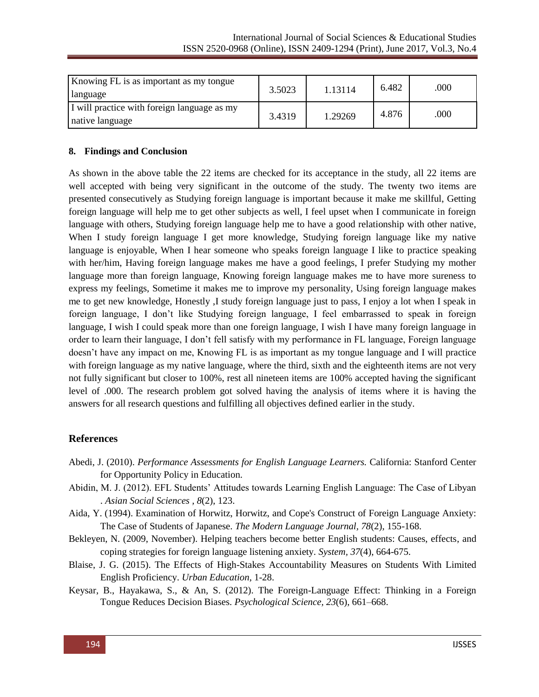| Knowing FL is as important as my tongue<br>language            | 3.5023 | 1.13114 | 6.482 | .000 |
|----------------------------------------------------------------|--------|---------|-------|------|
| I will practice with foreign language as my<br>native language | 3.4319 | 1.29269 | 4.876 | .000 |

#### **8. Findings and Conclusion**

As shown in the above table the 22 items are checked for its acceptance in the study, all 22 items are well accepted with being very significant in the outcome of the study. The twenty two items are presented consecutively as Studying foreign language is important because it make me skillful, Getting foreign language will help me to get other subjects as well, I feel upset when I communicate in foreign language with others, Studying foreign language help me to have a good relationship with other native, When I study foreign language I get more knowledge, Studying foreign language like my native language is enjoyable, When I hear someone who speaks foreign language I like to practice speaking with her/him, Having foreign language makes me have a good feelings, I prefer Studying my mother language more than foreign language, Knowing foreign language makes me to have more sureness to express my feelings, Sometime it makes me to improve my personality, Using foreign language makes me to get new knowledge, Honestly ,I study foreign language just to pass, I enjoy a lot when I speak in foreign language, I don't like Studying foreign language, I feel embarrassed to speak in foreign language, I wish I could speak more than one foreign language, I wish I have many foreign language in order to learn their language, I don't fell satisfy with my performance in FL language, Foreign language doesn't have any impact on me, Knowing FL is as important as my tongue language and I will practice with foreign language as my native language, where the third, sixth and the eighteenth items are not very not fully significant but closer to 100%, rest all nineteen items are 100% accepted having the significant level of .000. The research problem got solved having the analysis of items where it is having the answers for all research questions and fulfilling all objectives defined earlier in the study.

### **References**

- Abedi, J. (2010). *Performance Assessments for English Language Learners.* California: Stanford Center for Opportunity Policy in Education.
- Abidin, M. J. (2012). EFL Students' Attitudes towards Learning English Language: The Case of Libyan . *Asian Social Sciences , 8*(2), 123.
- Aida, Y. (1994). Examination of Horwitz, Horwitz, and Cope's Construct of Foreign Language Anxiety: The Case of Students of Japanese. *The Modern Language Journal, 78*(2), 155-168.
- Bekleyen, N. (2009, November). Helping teachers become better English students: Causes, effects, and coping strategies for foreign language listening anxiety. *System, 37*(4), 664-675.
- Blaise, J. G. (2015). The Effects of High-Stakes Accountability Measures on Students With Limited English Proficiency. *Urban Education*, 1-28.
- Keysar, B., Hayakawa, S., & An, S. (2012). The Foreign-Language Effect: Thinking in a Foreign Tongue Reduces Decision Biases. *Psychological Science, 23*(6), 661–668.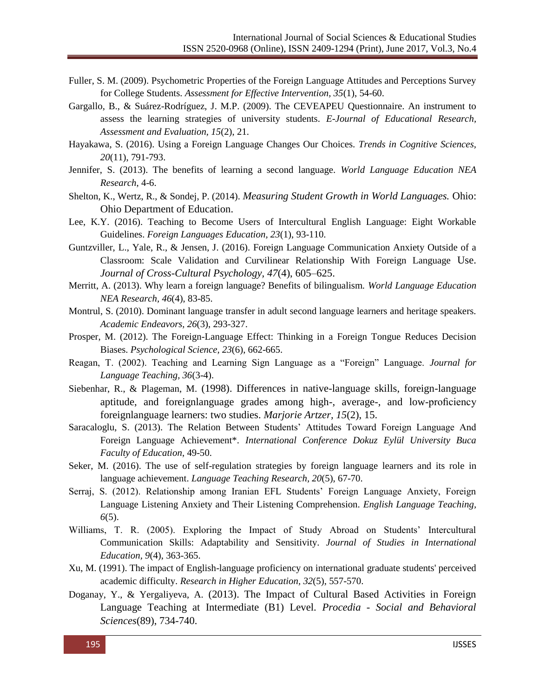- Fuller, S. M. (2009). Psychometric Properties of the Foreign Language Attitudes and Perceptions Survey for College Students. *Assessment for Effective Intervention, 35*(1), 54-60.
- Gargallo, B., & Suárez-Rodríguez, J. M.P. (2009). The CEVEAPEU Questionnaire. An instrument to assess the learning strategies of university students. *E-Journal of Educational Research, Assessment and Evaluation, 15*(2), 21.
- Hayakawa, S. (2016). Using a Foreign Language Changes Our Choices. *Trends in Cognitive Sciences, 20*(11), 791-793.
- Jennifer, S. (2013). The benefits of learning a second language. *World Language Education NEA Research*, 4-6.
- Shelton, K., Wertz, R., & Sondej, P. (2014). *Measuring Student Growth in World Languages.* Ohio: Ohio Department of Education.
- Lee, K.Y. (2016). Teaching to Become Users of Intercultural English Language: Eight Workable Guidelines. *Foreign Languages Education, 23*(1), 93-110.
- Guntzviller, L., Yale, R., & Jensen, J. (2016). Foreign Language Communication Anxiety Outside of a Classroom: Scale Validation and Curvilinear Relationship With Foreign Language Use. *Journal of Cross-Cultural Psychology, 47*(4), 605–625.
- Merritt, A. (2013). Why learn a foreign language? Benefits of bilingualism. *World Language Education NEA Research, 46*(4), 83-85.
- Montrul, S. (2010). Dominant language transfer in adult second language learners and heritage speakers. *Academic Endeavors, 26*(3), 293-327.
- Prosper, M. (2012). The Foreign-Language Effect: Thinking in a Foreign Tongue Reduces Decision Biases. *Psychological Science, 23*(6), 662-665.
- Reagan, T. (2002). Teaching and Learning Sign Language as a "Foreign" Language. *Journal for Language Teaching, 36*(3-4).
- Siebenhar, R., & Plageman, M. (1998). Differences in native-language skills, foreign-language aptitude, and foreignlanguage grades among high-, average-, and low-proficiency foreignlanguage learners: two studies. *Marjorie Artzer, 15*(2), 15.
- Saracaloglu, S. (2013). The Relation Between Students' Attitudes Toward Foreign Language And Foreign Language Achievement\*. *International Conference Dokuz Eylül University Buca Faculty of Education*, 49-50.
- Seker, M. (2016). The use of self-regulation strategies by foreign language learners and its role in language achievement. *Language Teaching Research, 20*(5), 67-70.
- Serraj, S. (2012). Relationship among Iranian EFL Students' Foreign Language Anxiety, Foreign Language Listening Anxiety and Their Listening Comprehension. *English Language Teaching, 6*(5).
- Williams, T. R. (2005). Exploring the Impact of Study Abroad on Students' Intercultural Communication Skills: Adaptability and Sensitivity. *Journal of Studies in International Education, 9*(4), 363-365.
- Xu, M. (1991). The impact of English-language proficiency on international graduate students' perceived academic difficulty. *Research in Higher Education, 32*(5), 557-570.
- Doganay, Y., & Yergaliyeva, A. (2013). The Impact of Cultural Based Activities in Foreign Language Teaching at Intermediate (B1) Level. *Procedia - Social and Behavioral Sciences*(89), 734-740.